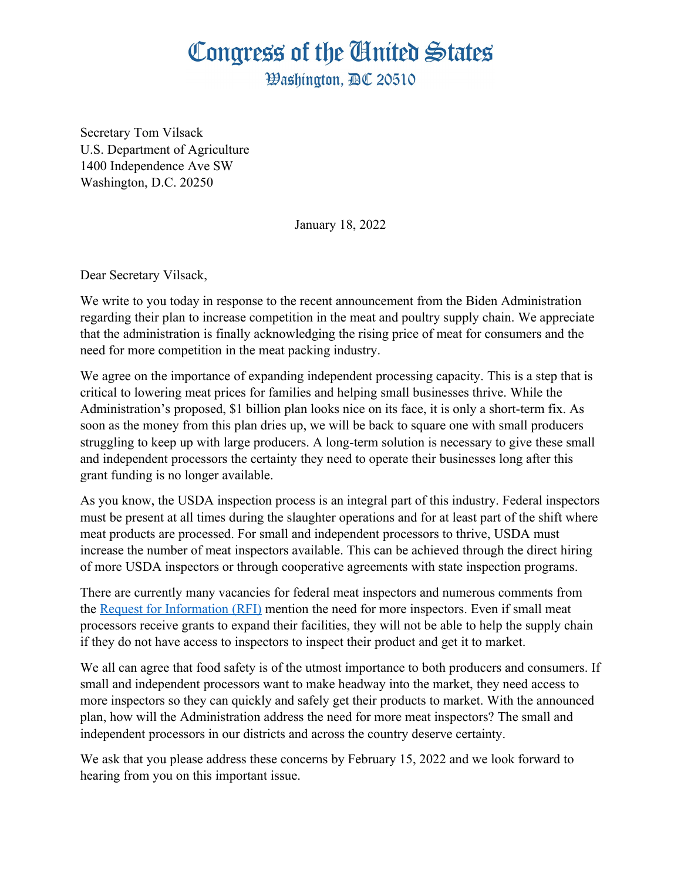## Congress of the Ginited States

**Washinaton. BC 20510** 

Secretary Tom Vilsack U.S. Department of Agriculture 1400 Independence Ave SW Washington, D.C. 20250

January 18, 2022

Dear Secretary Vilsack,

We write to you today in response to the recent announcement from the Biden Administration regarding their plan to increase competition in the meat and poultry supply chain. We appreciate that the administration is finally acknowledging the rising price of meat for consumers and the need for more competition in the meat packing industry.

We agree on the importance of expanding independent processing capacity. This is a step that is critical to lowering meat prices for families and helping small businesses thrive. While the Administration's proposed, \$1 billion plan looks nice on its face, it is only a short-term fix. As soon as the money from this plan dries up, we will be back to square one with small producers struggling to keep up with large producers. A long-term solution is necessary to give these small and independent processors the certainty they need to operate their businesses long after this grant funding is no longer available.

As you know, the USDA inspection process is an integral part of this industry. Federal inspectors must be present at all times during the slaughter operations and for at least part of the shift where meat products are processed. For small and independent processors to thrive, USDA must increase the number of meat inspectors available. This can be achieved through the direct hiring of more USDA inspectors or through cooperative agreements with state inspection programs.

There are currently many vacancies for federal meat inspectors and numerous comments from the [Request for Information \(RFI\)](https://www.regulations.gov/document/AMS-TM-21-0058-0002/comment) mention the need for more inspectors. Even if small meat processors receive grants to expand their facilities, they will not be able to help the supply chain if they do not have access to inspectors to inspect their product and get it to market.

We all can agree that food safety is of the utmost importance to both producers and consumers. If small and independent processors want to make headway into the market, they need access to more inspectors so they can quickly and safely get their products to market. With the announced plan, how will the Administration address the need for more meat inspectors? The small and independent processors in our districts and across the country deserve certainty.

We ask that you please address these concerns by February 15, 2022 and we look forward to hearing from you on this important issue.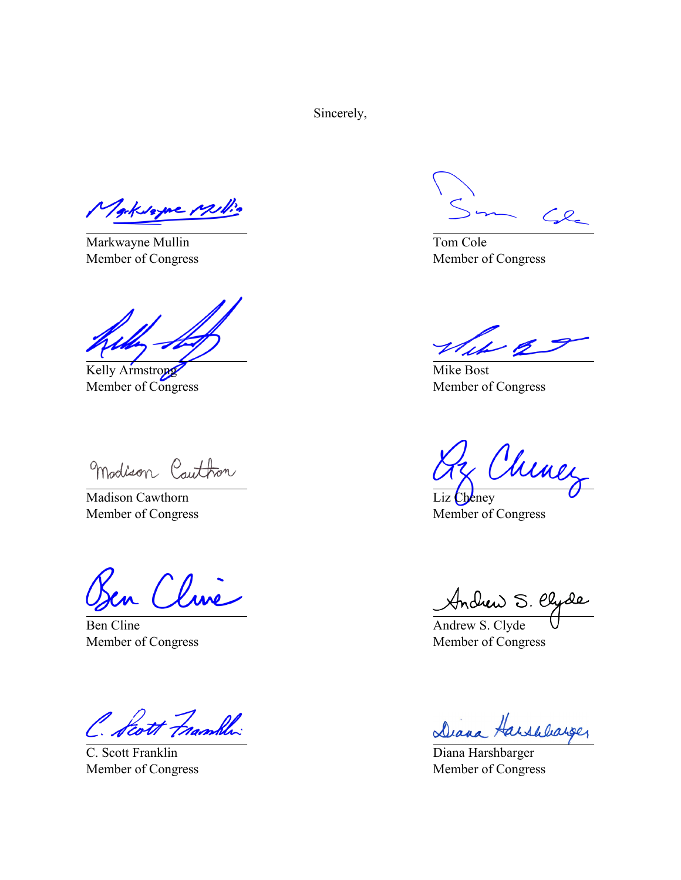Sincerely,

Toksagne Mill.

Markwayne Mullin Member of Congress

Kelly Armstrong Member of Congress

Madison Cauthon

Madison Cawthorn Member of Congress

en Cline

Ben Cline Member of Congress

Scott Frambly

C. Scott Franklin Member of Congress

 $\mathcal{L}$ 

Tom Cole Member of Congress

Mike Bost Member of Congress

Chines

Liz Cheney Member of Congress

Andrew S. Clyde

Member of Congress

Diana Harshbarger

Diana Harshbarger Member of Congress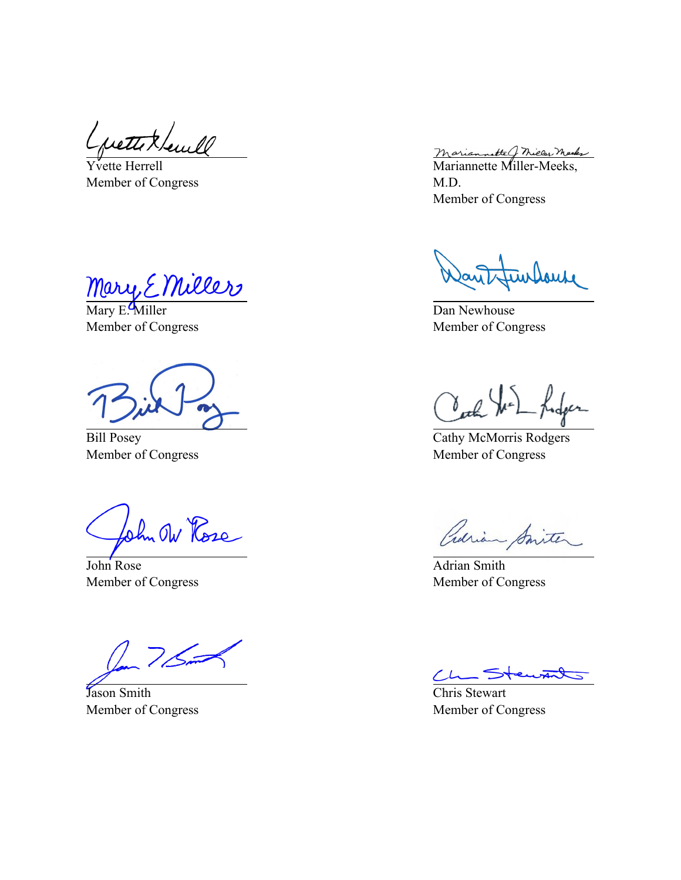$\overline{Y}$ vette Herrell Member of Congress

Mary E. Miller

Member of Congress

Bill Posey Member of Congress

ohn Ow Rose

John Rose Member of Congress

Jason Smith Member of Congress

Mariannette G Michel Marks<br>Mariannette Miller-Meeks, M.D. Member of Congress

Dan Newhouse Member of Congress

Carl John

Cathy McMorris Rodgers Member of Congress

Crarian Smiter

Adrian Smith Member of Congress

entat  $\overline{\phantom{a}}$ 

Chris Stewart Member of Congress